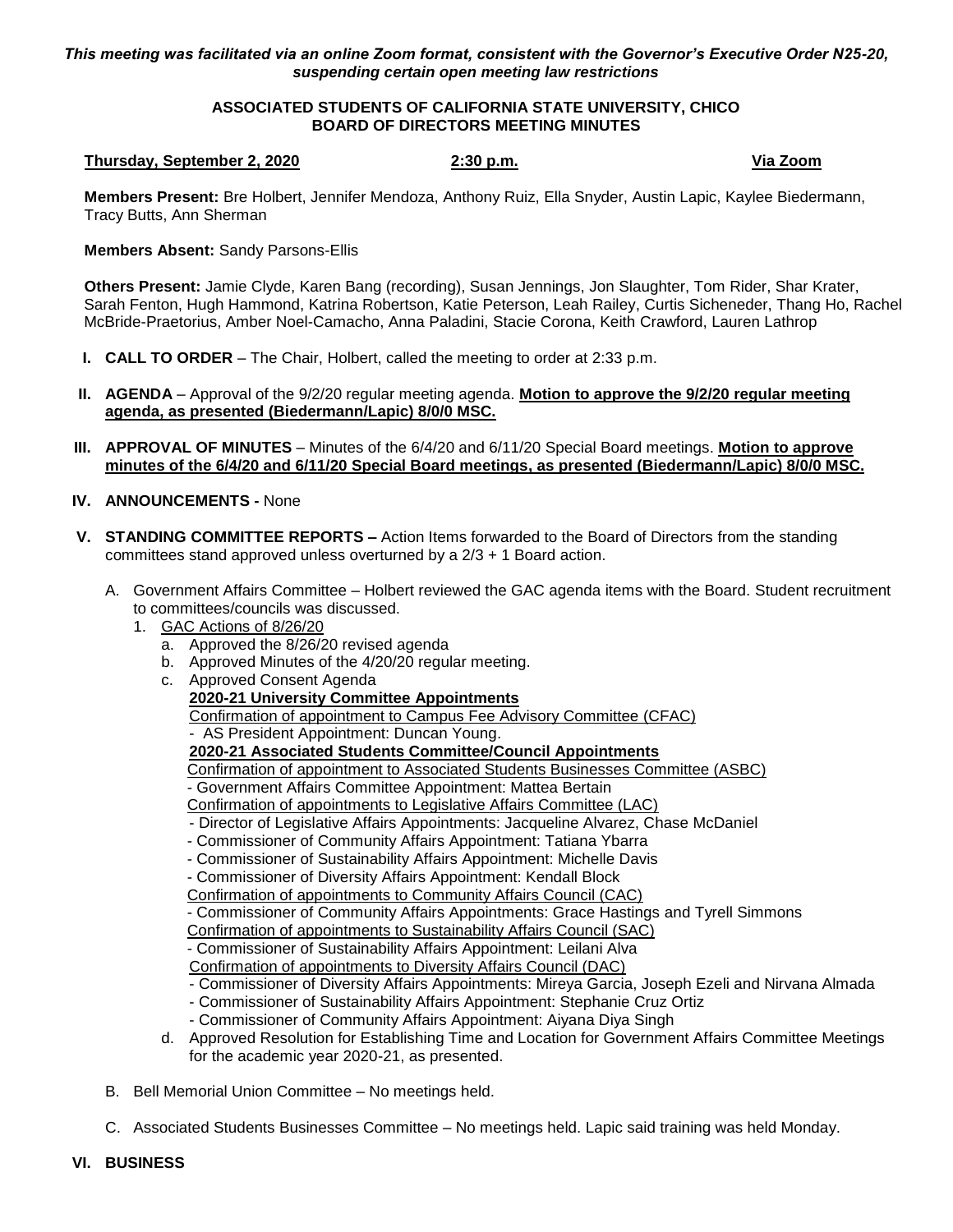## *This meeting was facilitated via an online Zoom format, consistent with the Governor's Executive Order N25-20, suspending certain open meeting law restrictions*

# **ASSOCIATED STUDENTS OF CALIFORNIA STATE UNIVERSITY, CHICO BOARD OF DIRECTORS MEETING MINUTES**

### **Thursday, September 2, 2020 2:30 p.m. Via Zoom**

**Members Present:** Bre Holbert, Jennifer Mendoza, Anthony Ruiz, Ella Snyder, Austin Lapic, Kaylee Biedermann, Tracy Butts, Ann Sherman

## **Members Absent:** Sandy Parsons-Ellis

**Others Present:** Jamie Clyde, Karen Bang (recording), Susan Jennings, Jon Slaughter, Tom Rider, Shar Krater, Sarah Fenton, Hugh Hammond, Katrina Robertson, Katie Peterson, Leah Railey, Curtis Sicheneder, Thang Ho, Rachel McBride-Praetorius, Amber Noel-Camacho, Anna Paladini, Stacie Corona, Keith Crawford, Lauren Lathrop

- **I. CALL TO ORDER** The Chair, Holbert, called the meeting to order at 2:33 p.m.
- **II. AGENDA** Approval of the 9/2/20 regular meeting agenda. **Motion to approve the 9/2/20 regular meeting agenda, as presented (Biedermann/Lapic) 8/0/0 MSC.**
- **III. APPROVAL OF MINUTES** Minutes of the 6/4/20 and 6/11/20 Special Board meetings. **Motion to approve minutes of the 6/4/20 and 6/11/20 Special Board meetings, as presented (Biedermann/Lapic) 8/0/0 MSC.**

# **IV. ANNOUNCEMENTS -** None

- **V. STANDING COMMITTEE REPORTS –** Action Items forwarded to the Board of Directors from the standing committees stand approved unless overturned by a 2/3 + 1 Board action.
	- A. Government Affairs Committee Holbert reviewed the GAC agenda items with the Board. Student recruitment to committees/councils was discussed.
		- 1. GAC Actions of 8/26/20
			- a. Approved the 8/26/20 revised agenda
			- b. Approved Minutes of the 4/20/20 regular meeting.
			- c. Approved Consent Agenda
				- **2020-21 University Committee Appointments**
				- Confirmation of appointment to Campus Fee Advisory Committee (CFAC)
				- AS President Appointment: Duncan Young.

## **2020-21 Associated Students Committee/Council Appointments**

- Confirmation of appointment to Associated Students Businesses Committee (ASBC)
- Government Affairs Committee Appointment: Mattea Bertain
- Confirmation of appointments to Legislative Affairs Committee (LAC)
- Director of Legislative Affairs Appointments: Jacqueline Alvarez, Chase McDaniel
- Commissioner of Community Affairs Appointment: Tatiana Ybarra
- Commissioner of Sustainability Affairs Appointment: Michelle Davis
- Commissioner of Diversity Affairs Appointment: Kendall Block
- Confirmation of appointments to Community Affairs Council (CAC)
- Commissioner of Community Affairs Appointments: Grace Hastings and Tyrell Simmons
- Confirmation of appointments to Sustainability Affairs Council (SAC)
- Commissioner of Sustainability Affairs Appointment: Leilani Alva
- Confirmation of appointments to Diversity Affairs Council (DAC)
- Commissioner of Diversity Affairs Appointments: Mireya Garcia, Joseph Ezeli and Nirvana Almada
- Commissioner of Sustainability Affairs Appointment: Stephanie Cruz Ortiz
- Commissioner of Community Affairs Appointment: Aiyana Diya Singh
- d. Approved Resolution for Establishing Time and Location for Government Affairs Committee Meetings for the academic year 2020-21, as presented.
- B. Bell Memorial Union Committee No meetings held.
- C. Associated Students Businesses Committee No meetings held. Lapic said training was held Monday.
- **VI. BUSINESS**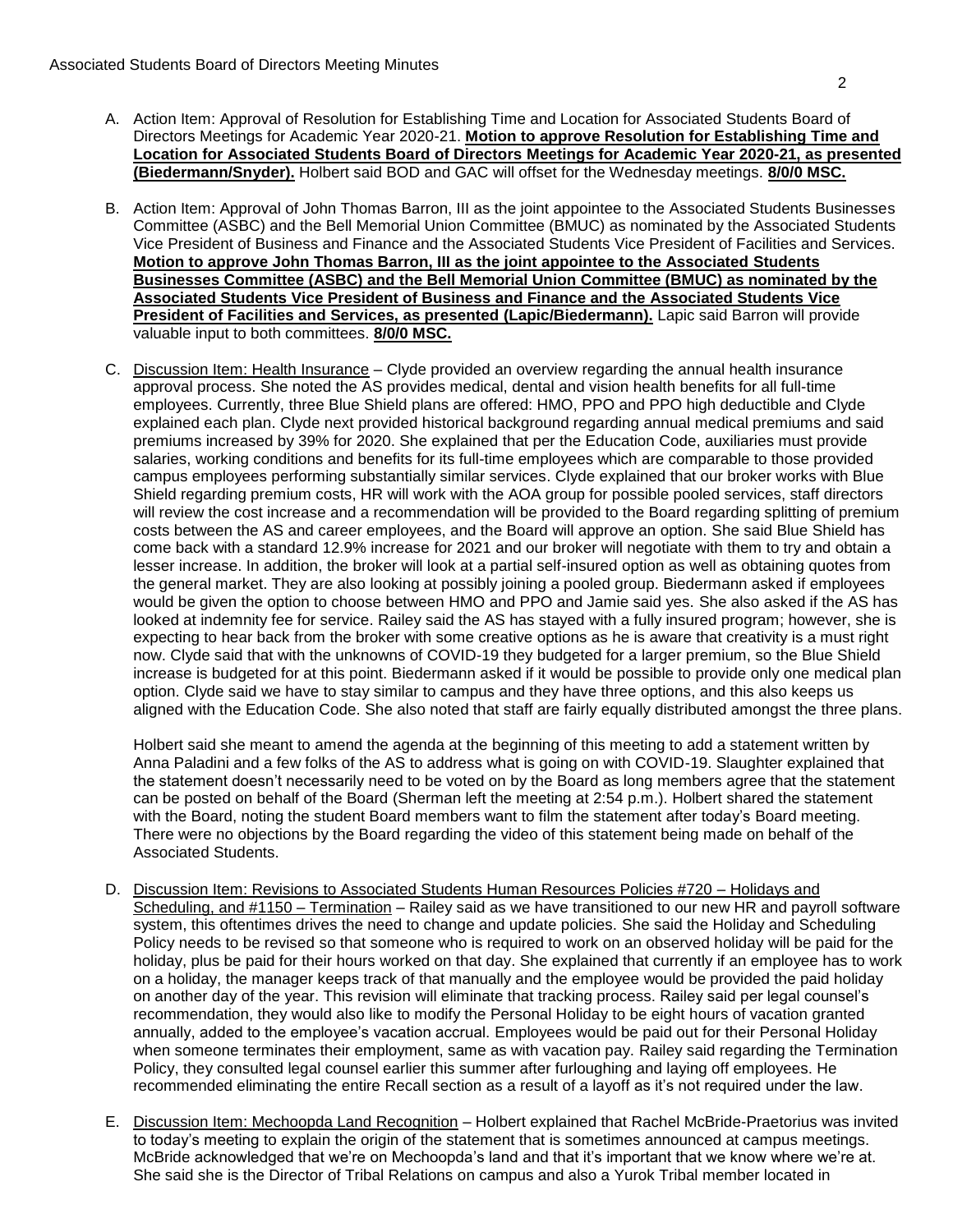- A. Action Item: Approval of Resolution for Establishing Time and Location for Associated Students Board of Directors Meetings for Academic Year 2020-21. **Motion to approve Resolution for Establishing Time and Location for Associated Students Board of Directors Meetings for Academic Year 2020-21, as presented (Biedermann/Snyder).** Holbert said BOD and GAC will offset for the Wednesday meetings. **8/0/0 MSC.**
- B. Action Item: Approval of John Thomas Barron, III as the joint appointee to the Associated Students Businesses Committee (ASBC) and the Bell Memorial Union Committee (BMUC) as nominated by the Associated Students Vice President of Business and Finance and the Associated Students Vice President of Facilities and Services. **Motion to approve John Thomas Barron, III as the joint appointee to the Associated Students Businesses Committee (ASBC) and the Bell Memorial Union Committee (BMUC) as nominated by the Associated Students Vice President of Business and Finance and the Associated Students Vice President of Facilities and Services, as presented (Lapic/Biedermann).** Lapic said Barron will provide valuable input to both committees. **8/0/0 MSC.**
- C. Discussion Item: Health Insurance Clyde provided an overview regarding the annual health insurance approval process. She noted the AS provides medical, dental and vision health benefits for all full-time employees. Currently, three Blue Shield plans are offered: HMO, PPO and PPO high deductible and Clyde explained each plan. Clyde next provided historical background regarding annual medical premiums and said premiums increased by 39% for 2020. She explained that per the Education Code, auxiliaries must provide salaries, working conditions and benefits for its full-time employees which are comparable to those provided campus employees performing substantially similar services. Clyde explained that our broker works with Blue Shield regarding premium costs, HR will work with the AOA group for possible pooled services, staff directors will review the cost increase and a recommendation will be provided to the Board regarding splitting of premium costs between the AS and career employees, and the Board will approve an option. She said Blue Shield has come back with a standard 12.9% increase for 2021 and our broker will negotiate with them to try and obtain a lesser increase. In addition, the broker will look at a partial self-insured option as well as obtaining quotes from the general market. They are also looking at possibly joining a pooled group. Biedermann asked if employees would be given the option to choose between HMO and PPO and Jamie said yes. She also asked if the AS has looked at indemnity fee for service. Railey said the AS has stayed with a fully insured program; however, she is expecting to hear back from the broker with some creative options as he is aware that creativity is a must right now. Clyde said that with the unknowns of COVID-19 they budgeted for a larger premium, so the Blue Shield increase is budgeted for at this point. Biedermann asked if it would be possible to provide only one medical plan option. Clyde said we have to stay similar to campus and they have three options, and this also keeps us aligned with the Education Code. She also noted that staff are fairly equally distributed amongst the three plans.

Holbert said she meant to amend the agenda at the beginning of this meeting to add a statement written by Anna Paladini and a few folks of the AS to address what is going on with COVID-19. Slaughter explained that the statement doesn't necessarily need to be voted on by the Board as long members agree that the statement can be posted on behalf of the Board (Sherman left the meeting at 2:54 p.m.). Holbert shared the statement with the Board, noting the student Board members want to film the statement after today's Board meeting. There were no objections by the Board regarding the video of this statement being made on behalf of the Associated Students.

- D. Discussion Item: Revisions to Associated Students Human Resources Policies #720 Holidays and Scheduling, and #1150 – Termination – Railey said as we have transitioned to our new HR and payroll software system, this oftentimes drives the need to change and update policies. She said the Holiday and Scheduling Policy needs to be revised so that someone who is required to work on an observed holiday will be paid for the holiday, plus be paid for their hours worked on that day. She explained that currently if an employee has to work on a holiday, the manager keeps track of that manually and the employee would be provided the paid holiday on another day of the year. This revision will eliminate that tracking process. Railey said per legal counsel's recommendation, they would also like to modify the Personal Holiday to be eight hours of vacation granted annually, added to the employee's vacation accrual. Employees would be paid out for their Personal Holiday when someone terminates their employment, same as with vacation pay. Railey said regarding the Termination Policy, they consulted legal counsel earlier this summer after furloughing and laying off employees. He recommended eliminating the entire Recall section as a result of a layoff as it's not required under the law.
- E. Discussion Item: Mechoopda Land Recognition Holbert explained that Rachel McBride-Praetorius was invited to today's meeting to explain the origin of the statement that is sometimes announced at campus meetings. McBride acknowledged that we're on Mechoopda's land and that it's important that we know where we're at. She said she is the Director of Tribal Relations on campus and also a Yurok Tribal member located in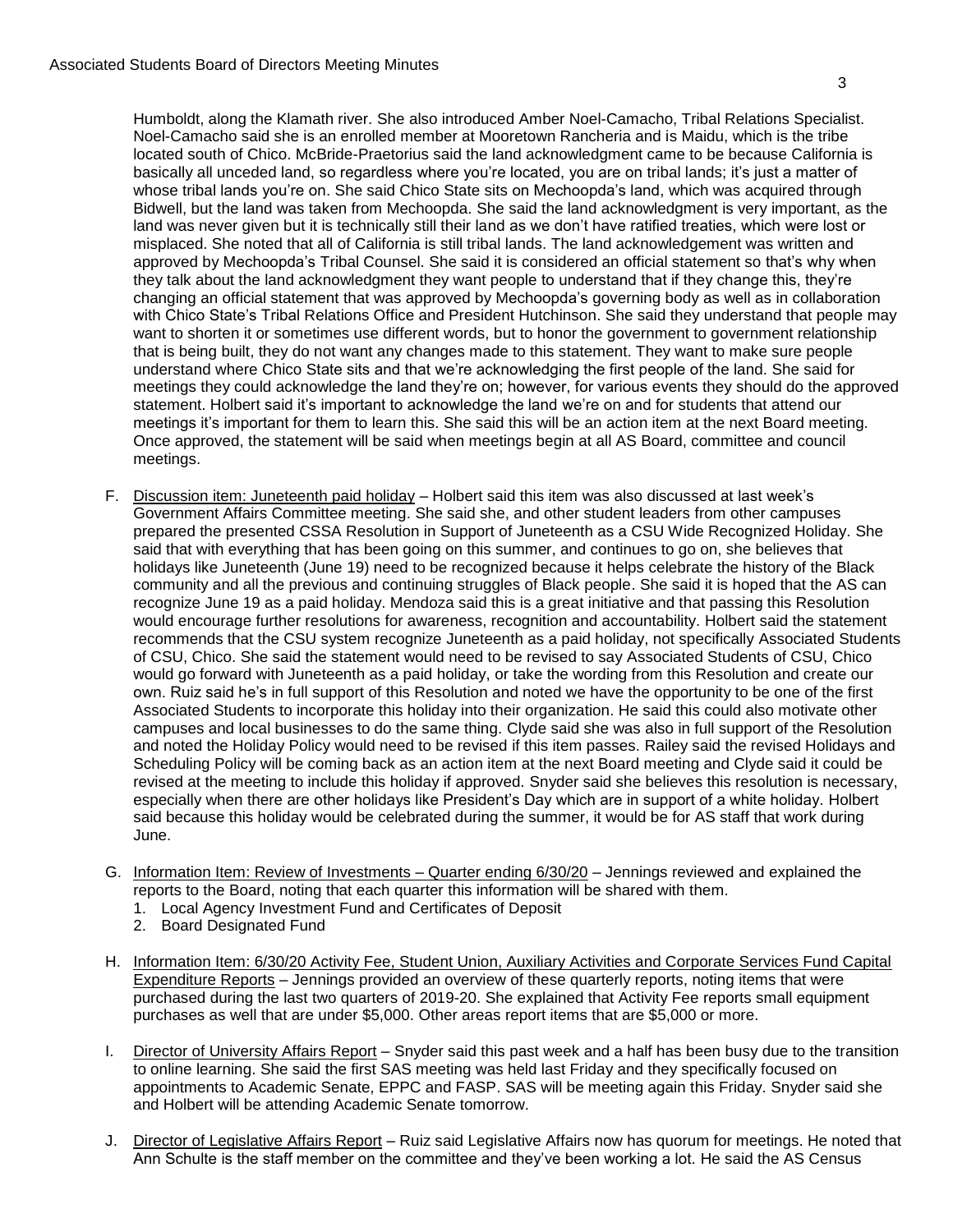Humboldt, along the Klamath river. She also introduced Amber Noel-Camacho, Tribal Relations Specialist. Noel-Camacho said she is an enrolled member at Mooretown Rancheria and is Maidu, which is the tribe located south of Chico. McBride-Praetorius said the land acknowledgment came to be because California is basically all unceded land, so regardless where you're located, you are on tribal lands; it's just a matter of whose tribal lands you're on. She said Chico State sits on Mechoopda's land, which was acquired through Bidwell, but the land was taken from Mechoopda. She said the land acknowledgment is very important, as the land was never given but it is technically still their land as we don't have ratified treaties, which were lost or misplaced. She noted that all of California is still tribal lands. The land acknowledgement was written and approved by Mechoopda's Tribal Counsel. She said it is considered an official statement so that's why when they talk about the land acknowledgment they want people to understand that if they change this, they're changing an official statement that was approved by Mechoopda's governing body as well as in collaboration with Chico State's Tribal Relations Office and President Hutchinson. She said they understand that people may want to shorten it or sometimes use different words, but to honor the government to government relationship that is being built, they do not want any changes made to this statement. They want to make sure people understand where Chico State sits and that we're acknowledging the first people of the land. She said for meetings they could acknowledge the land they're on; however, for various events they should do the approved statement. Holbert said it's important to acknowledge the land we're on and for students that attend our meetings it's important for them to learn this. She said this will be an action item at the next Board meeting. Once approved, the statement will be said when meetings begin at all AS Board, committee and council meetings.

- F. Discussion item: Juneteenth paid holiday Holbert said this item was also discussed at last week's Government Affairs Committee meeting. She said she, and other student leaders from other campuses prepared the presented CSSA Resolution in Support of Juneteenth as a CSU Wide Recognized Holiday. She said that with everything that has been going on this summer, and continues to go on, she believes that holidays like Juneteenth (June 19) need to be recognized because it helps celebrate the history of the Black community and all the previous and continuing struggles of Black people. She said it is hoped that the AS can recognize June 19 as a paid holiday. Mendoza said this is a great initiative and that passing this Resolution would encourage further resolutions for awareness, recognition and accountability. Holbert said the statement recommends that the CSU system recognize Juneteenth as a paid holiday, not specifically Associated Students of CSU, Chico. She said the statement would need to be revised to say Associated Students of CSU, Chico would go forward with Juneteenth as a paid holiday, or take the wording from this Resolution and create our own. Ruiz said he's in full support of this Resolution and noted we have the opportunity to be one of the first Associated Students to incorporate this holiday into their organization. He said this could also motivate other campuses and local businesses to do the same thing. Clyde said she was also in full support of the Resolution and noted the Holiday Policy would need to be revised if this item passes. Railey said the revised Holidays and Scheduling Policy will be coming back as an action item at the next Board meeting and Clyde said it could be revised at the meeting to include this holiday if approved. Snyder said she believes this resolution is necessary, especially when there are other holidays like President's Day which are in support of a white holiday. Holbert said because this holiday would be celebrated during the summer, it would be for AS staff that work during June.
- G. Information Item: Review of Investments Quarter ending 6/30/20 Jennings reviewed and explained the reports to the Board, noting that each quarter this information will be shared with them.
	- 1. Local Agency Investment Fund and Certificates of Deposit
	- 2. Board Designated Fund
- H. Information Item: 6/30/20 Activity Fee, Student Union, Auxiliary Activities and Corporate Services Fund Capital Expenditure Reports – Jennings provided an overview of these quarterly reports, noting items that were purchased during the last two quarters of 2019-20. She explained that Activity Fee reports small equipment purchases as well that are under \$5,000. Other areas report items that are \$5,000 or more.
- I. Director of University Affairs Report Snyder said this past week and a half has been busy due to the transition to online learning. She said the first SAS meeting was held last Friday and they specifically focused on appointments to Academic Senate, EPPC and FASP. SAS will be meeting again this Friday. Snyder said she and Holbert will be attending Academic Senate tomorrow.
- J. Director of Legislative Affairs Report Ruiz said Legislative Affairs now has quorum for meetings. He noted that Ann Schulte is the staff member on the committee and they've been working a lot. He said the AS Census